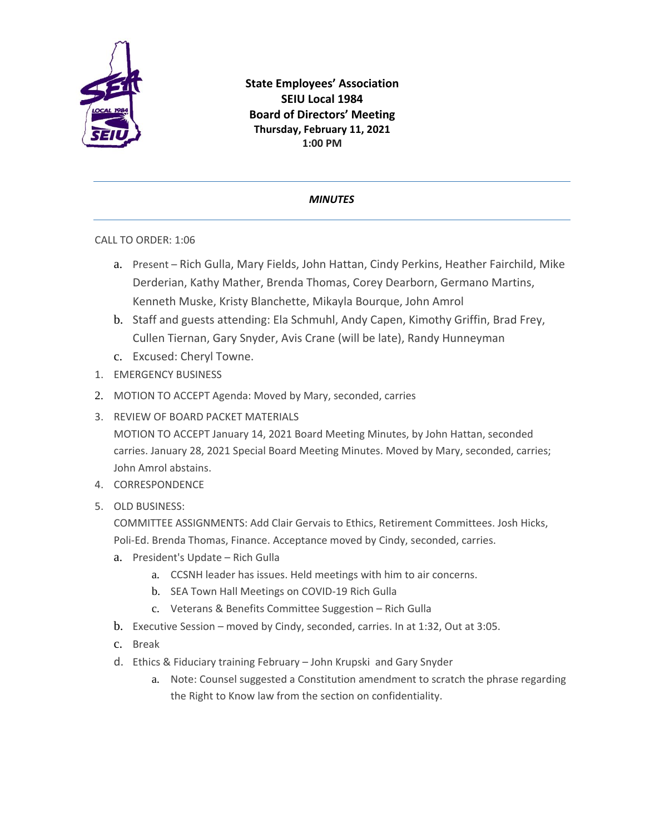

**State Employees' Association SEIU Local 1984 Board of Directors' Meeting Thursday, February 11, 2021 1:00 PM**

## *MINUTES*

## CALL TO ORDER: 1:06

- a. Present Rich Gulla, Mary Fields, John Hattan, Cindy Perkins, Heather Fairchild, Mike Derderian, Kathy Mather, Brenda Thomas, Corey Dearborn, Germano Martins, Kenneth Muske, Kristy Blanchette, Mikayla Bourque, John Amrol
- b. Staff and guests attending: Ela Schmuhl, Andy Capen, Kimothy Griffin, Brad Frey, Cullen Tiernan, Gary Snyder, Avis Crane (will be late), Randy Hunneyman
- c. Excused: Cheryl Towne.
- 1. EMERGENCY BUSINESS
- 2. MOTION TO ACCEPT Agenda: Moved by Mary, seconded, carries
- 3. REVIEW OF BOARD PACKET MATERIALS

MOTION TO ACCEPT January 14, 2021 Board Meeting Minutes, by John Hattan, seconded carries. January 28, 2021 Special Board Meeting Minutes. Moved by Mary, seconded, carries; John Amrol abstains.

- 4. CORRESPONDENCE
- 5. OLD BUSINESS:

COMMITTEE ASSIGNMENTS: Add Clair Gervais to Ethics, Retirement Committees. Josh Hicks, Poli-Ed. Brenda Thomas, Finance. Acceptance moved by Cindy, seconded, carries.

- a. President's Update Rich Gulla
	- a. CCSNH leader has issues. Held meetings with him to air concerns.
	- b. SEA Town Hall Meetings on COVID-19 Rich Gulla
	- c. Veterans & Benefits Committee Suggestion Rich Gulla
- b. Executive Session moved by Cindy, seconded, carries. In at 1:32, Out at 3:05.
- c. Break
- d. Ethics & Fiduciary training February John Krupski and Gary Snyder
	- a. Note: Counsel suggested a Constitution amendment to scratch the phrase regarding the Right to Know law from the section on confidentiality.